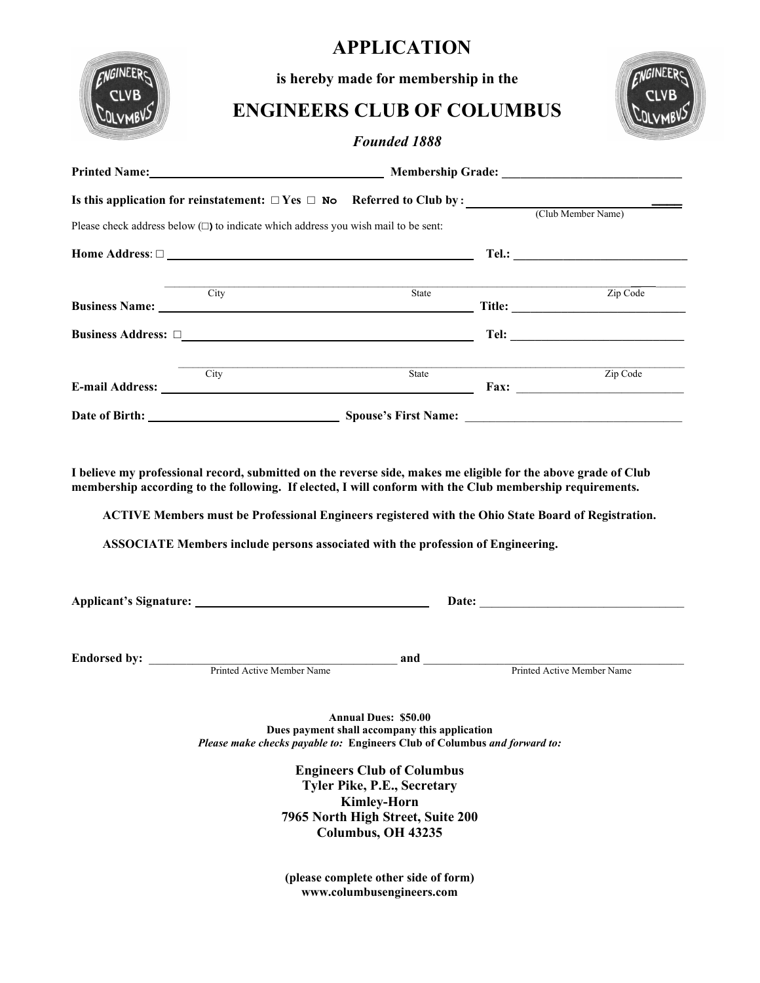|  |                                                                                                                                                                                                                                                                                     | <b>APPLICATION</b>                                                           |  |                       |  |
|--|-------------------------------------------------------------------------------------------------------------------------------------------------------------------------------------------------------------------------------------------------------------------------------------|------------------------------------------------------------------------------|--|-----------------------|--|
|  | is hereby made for membership in the<br><b>ENGINEERS CLUB OF COLUMBUS</b>                                                                                                                                                                                                           |                                                                              |  |                       |  |
|  |                                                                                                                                                                                                                                                                                     |                                                                              |  |                       |  |
|  |                                                                                                                                                                                                                                                                                     | <b>Founded 1888</b>                                                          |  |                       |  |
|  |                                                                                                                                                                                                                                                                                     |                                                                              |  |                       |  |
|  | Is this application for reinstatement: $\Box$ Yes $\Box$ No Referred to Club by: (Club Member Name) (Club Member Name)                                                                                                                                                              |                                                                              |  |                       |  |
|  | Please check address below $\Box$ ) to indicate which address you wish mail to be sent:                                                                                                                                                                                             |                                                                              |  |                       |  |
|  | Home Address: $\Box$                                                                                                                                                                                                                                                                |                                                                              |  |                       |  |
|  | City<br>Extremely State Einess Name: City State Zip Code 21.                                                                                                                                                                                                                        |                                                                              |  | $\overline{Zip Code}$ |  |
|  | Business Address: 0                                                                                                                                                                                                                                                                 |                                                                              |  |                       |  |
|  |                                                                                                                                                                                                                                                                                     |                                                                              |  |                       |  |
|  |                                                                                                                                                                                                                                                                                     |                                                                              |  |                       |  |
|  | E-mail Address: City State Zip Code National Address:<br>I believe my professional record, submitted on the reverse side, makes me eligible for the above grade of Club<br>membership according to the following. If elected, I will conform with the Club membership requirements. |                                                                              |  |                       |  |
|  | ACTIVE Members must be Professional Engineers registered with the Ohio State Board of Registration.<br>ASSOCIATE Members include persons associated with the profession of Engineering.                                                                                             |                                                                              |  |                       |  |
|  |                                                                                                                                                                                                                                                                                     |                                                                              |  |                       |  |
|  |                                                                                                                                                                                                                                                                                     |                                                                              |  |                       |  |
|  | <b>Endorsed by:</b><br>Printed Active Member Name<br>Printed Active Member Name<br>Printed Active Member Name                                                                                                                                                                       |                                                                              |  |                       |  |
|  | Please make checks payable to: Engineers Club of Columbus and forward to:                                                                                                                                                                                                           | <b>Annual Dues: \$50.00</b><br>Dues payment shall accompany this application |  |                       |  |

**(please complete other side of form) www.columbusengineers.com**